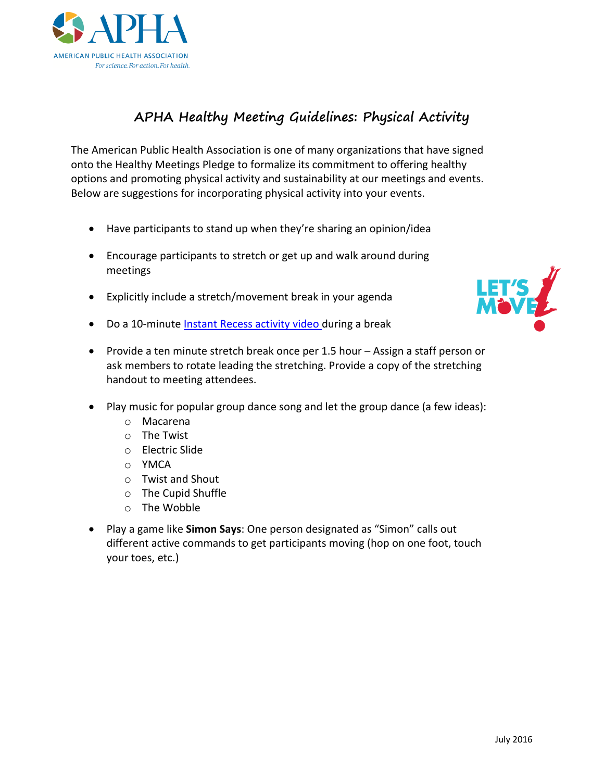

## **APHA Healthy Meeting Guidelines: Physical Activity**

The American Public Health Association is one of many organizations that have signed onto the Healthy Meetings Pledge to formalize its commitment to offering healthy options and promoting physical activity and sustainability at our meetings and events. Below are suggestions for incorporating physical activity into your events.

- Have participants to stand up when they're sharing an opinion/idea
- Encourage participants to stretch or get up and walk around during meetings
- Explicitly include a stretch/movement break in your agenda
- Do a 10-minute [Instant Recess activity video d](https://www.youtube.com/results?search_query=instant+recess)uring a break



- Provide a ten minute stretch break once per 1.5 hour Assign a staff person or ask members to rotate leading the stretching. Provide a copy of the stretching handout to meeting attendees.
- Play music for popular group dance song and let the group dance (a few ideas):
	- o Macarena
	- o The Twist
	- o Electric Slide
	- o YMCA
	- o Twist and Shout
	- o The Cupid Shuffle
	- o The Wobble
- Play a game like **Simon Says**: One person designated as "Simon" calls out different active commands to get participants moving (hop on one foot, touch your toes, etc.)